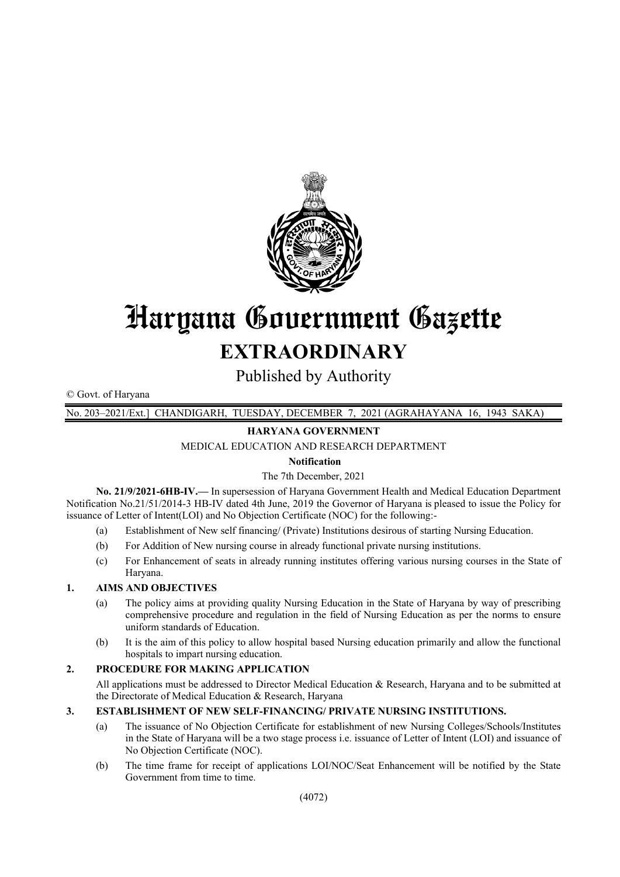

# Haryana Gouernment Gazette **EXTRAORDINARY**

Published by Authority

© Govt. of Haryana

 $1943$  SAKA) No. 203-2021/Ext.1 CHANDIGARH, TUESDAY, DECEMBER 7, 2021 (AGRAHAYANA 16,

# **HARYANA GOVERNMENT**

MEDICAL EDUCATION AND RESEARCH DEPARTMENT

## **Notification**

## The 7th December, 2021

No. 21/9/2021-6HB-IV.— In supersession of Haryana Government Health and Medical Education Department Notification No.21/51/2014-3 HB-IV dated 4th June, 2019 the Governor of Haryana is pleased to issue the Policy for issuance of Letter of Intent(LOI) and No Objection Certificate (NOC) for the following:-

- $(a)$ Establishment of New self financing/ (Private) Institutions desirous of starting Nursing Education.
- $(b)$ For Addition of New nursing course in already functional private nursing institutions.
- $(c)$ For Enhancement of seats in already running institutes offering various nursing courses in the State of Haryana.

#### $\mathbf{1}$ **AIMS AND OBJECTIVES**

- The policy aims at providing quality Nursing Education in the State of Haryana by way of prescribing  $(a)$ comprehensive procedure and regulation in the field of Nursing Education as per the norms to ensure uniform standards of Education.
- It is the aim of this policy to allow hospital based Nursing education primarily and allow the functional  $(b)$ hospitals to impart nursing education.

#### $\overline{2}$ . PROCEDURE FOR MAKING APPLICATION

All applications must be addressed to Director Medical Education & Research, Haryana and to be submitted at the Directorate of Medical Education & Research, Haryana

#### $\overline{3}$ . **ESTABLISHMENT OF NEW SELF-FINANCING/ PRIVATE NURSING INSTITUTIONS.**

- The issuance of No Objection Certificate for establishment of new Nursing Colleges/Schools/Institutes  $(a)$ in the State of Haryana will be a two stage process i.e. issuance of Letter of Intent (LOI) and issuance of No Objection Certificate (NOC).
- $(b)$ The time frame for receipt of applications LOI/NOC/Seat Enhancement will be notified by the State Government from time to time.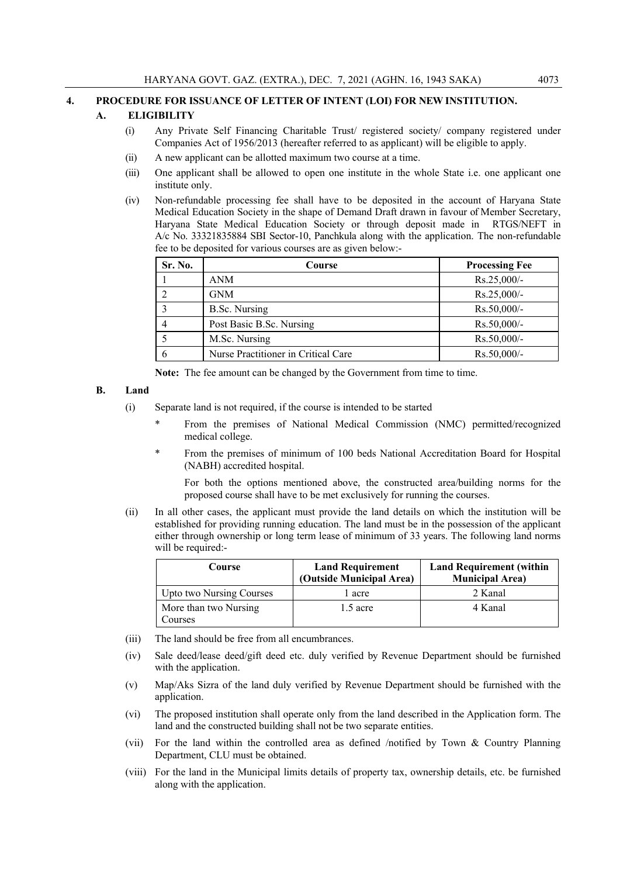#### **4. PROCEDURE FOR ISSUANCE OF LETTER OF INTENT (LOI) FOR NEW INSTITUTION.**

#### **A. ELIGIBILITY**

- (i) Any Private Self Financing Charitable Trust/ registered society/ company registered under Companies Act of 1956/2013 (hereafter referred to as applicant) will be eligible to apply.
- (ii) A new applicant can be allotted maximum two course at a time.
- (iii) One applicant shall be allowed to open one institute in the whole State i.e. one applicant one institute only.
- (iv) Non-refundable processing fee shall have to be deposited in the account of Haryana State Medical Education Society in the shape of Demand Draft drawn in favour of Member Secretary, Haryana State Medical Education Society or through deposit made in RTGS/NEFT in A/c No. 33321835884 SBI Sector-10, Panchkula along with the application. The non-refundable fee to be deposited for various courses are as given below:-

| Sr. No. | Course                              | <b>Processing Fee</b> |
|---------|-------------------------------------|-----------------------|
|         | ANM                                 | $Rs.25,000/-$         |
|         | GNM                                 | $Rs.25,000/-$         |
|         | B.Sc. Nursing                       | $Rs.50,000/-$         |
|         | Post Basic B.Sc. Nursing            | $Rs.50,000/$ -        |
|         | M.Sc. Nursing                       | $Rs.50,000/-$         |
| n       | Nurse Practitioner in Critical Care | $Rs.50,000/-$         |

**Note:** The fee amount can be changed by the Government from time to time.

#### **B. Land**

- (i) Separate land is not required, if the course is intended to be started
	- \* From the premises of National Medical Commission (NMC) permitted/recognized medical college.
	- \* From the premises of minimum of 100 beds National Accreditation Board for Hospital (NABH) accredited hospital.

 For both the options mentioned above, the constructed area/building norms for the proposed course shall have to be met exclusively for running the courses.

(ii) In all other cases, the applicant must provide the land details on which the institution will be established for providing running education. The land must be in the possession of the applicant either through ownership or long term lease of minimum of 33 years. The following land norms will be required:-

| Course                   | <b>Land Requirement</b>  | <b>Land Requirement (within</b> |
|--------------------------|--------------------------|---------------------------------|
|                          | (Outside Municipal Area) | <b>Municipal Area)</b>          |
| Upto two Nursing Courses | l acre                   | 2 Kanal                         |
| More than two Nursing    | $1.5$ acre               | 4 Kanal                         |
| Courses                  |                          |                                 |

- (iii) The land should be free from all encumbrances.
- (iv) Sale deed/lease deed/gift deed etc. duly verified by Revenue Department should be furnished with the application.
- (v) Map/Aks Sizra of the land duly verified by Revenue Department should be furnished with the application.
- (vi) The proposed institution shall operate only from the land described in the Application form. The land and the constructed building shall not be two separate entities.
- (vii) For the land within the controlled area as defined /notified by Town & Country Planning Department, CLU must be obtained.
- (viii) For the land in the Municipal limits details of property tax, ownership details, etc. be furnished along with the application.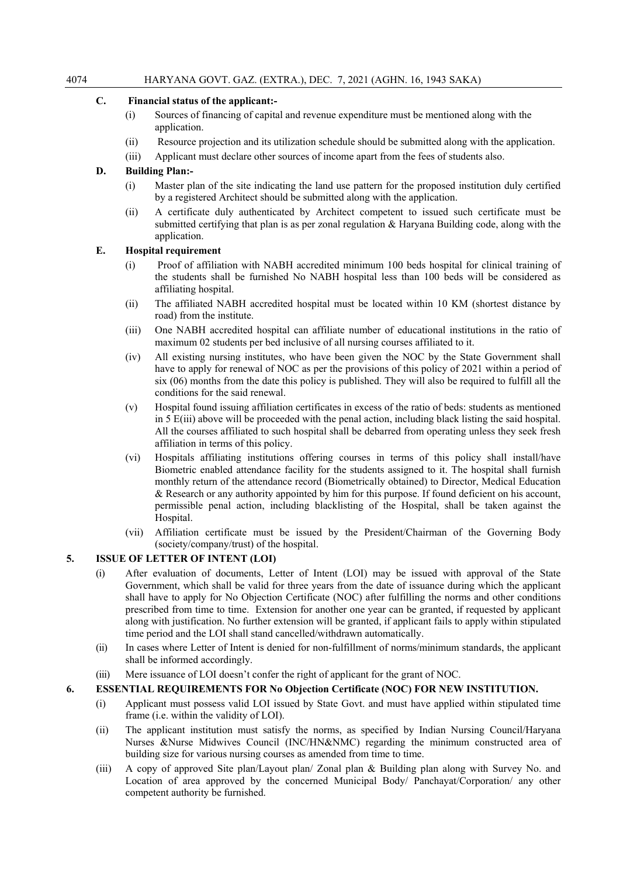#### **C. Financial status of the applicant:-**

- (i) Sources of financing of capital and revenue expenditure must be mentioned along with the application.
- (ii) Resource projection and its utilization schedule should be submitted along with the application.
- (iii) Applicant must declare other sources of income apart from the fees of students also.

## **D. Building Plan:-**

- (i) Master plan of the site indicating the land use pattern for the proposed institution duly certified by a registered Architect should be submitted along with the application.
- (ii) A certificate duly authenticated by Architect competent to issued such certificate must be submitted certifying that plan is as per zonal regulation & Haryana Building code, along with the application.

#### **E. Hospital requirement**

- (i) Proof of affiliation with NABH accredited minimum 100 beds hospital for clinical training of the students shall be furnished No NABH hospital less than 100 beds will be considered as affiliating hospital.
- (ii) The affiliated NABH accredited hospital must be located within 10 KM (shortest distance by road) from the institute.
- (iii) One NABH accredited hospital can affiliate number of educational institutions in the ratio of maximum 02 students per bed inclusive of all nursing courses affiliated to it.
- (iv) All existing nursing institutes, who have been given the NOC by the State Government shall have to apply for renewal of NOC as per the provisions of this policy of 2021 within a period of six (06) months from the date this policy is published. They will also be required to fulfill all the conditions for the said renewal.
- (v) Hospital found issuing affiliation certificates in excess of the ratio of beds: students as mentioned in 5 E(iii) above will be proceeded with the penal action, including black listing the said hospital. All the courses affiliated to such hospital shall be debarred from operating unless they seek fresh affiliation in terms of this policy.
- (vi) Hospitals affiliating institutions offering courses in terms of this policy shall install/have Biometric enabled attendance facility for the students assigned to it. The hospital shall furnish monthly return of the attendance record (Biometrically obtained) to Director, Medical Education & Research or any authority appointed by him for this purpose. If found deficient on his account, permissible penal action, including blacklisting of the Hospital, shall be taken against the Hospital.
- (vii) Affiliation certificate must be issued by the President/Chairman of the Governing Body (society/company/trust) of the hospital.

## **5. ISSUE OF LETTER OF INTENT (LOI)**

- (i) After evaluation of documents, Letter of Intent (LOI) may be issued with approval of the State Government, which shall be valid for three years from the date of issuance during which the applicant shall have to apply for No Objection Certificate (NOC) after fulfilling the norms and other conditions prescribed from time to time. Extension for another one year can be granted, if requested by applicant along with justification. No further extension will be granted, if applicant fails to apply within stipulated time period and the LOI shall stand cancelled/withdrawn automatically.
- (ii) In cases where Letter of Intent is denied for non-fulfillment of norms/minimum standards, the applicant shall be informed accordingly.
- (iii) Mere issuance of LOI doesn't confer the right of applicant for the grant of NOC.

## **6. ESSENTIAL REQUIREMENTS FOR No Objection Certificate (NOC) FOR NEW INSTITUTION.**

- (i) Applicant must possess valid LOI issued by State Govt. and must have applied within stipulated time frame (i.e. within the validity of LOI).
- (ii) The applicant institution must satisfy the norms, as specified by Indian Nursing Council/Haryana Nurses &Nurse Midwives Council (INC/HN&NMC) regarding the minimum constructed area of building size for various nursing courses as amended from time to time.
- (iii) A copy of approved Site plan/Layout plan/ Zonal plan & Building plan along with Survey No. and Location of area approved by the concerned Municipal Body/ Panchayat/Corporation/ any other competent authority be furnished.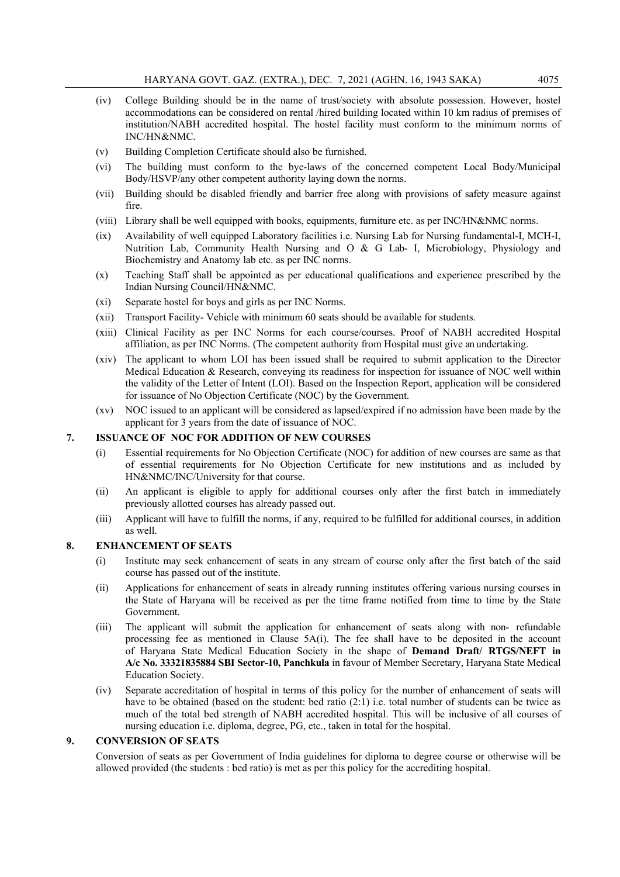- (iv) College Building should be in the name of trust/society with absolute possession. However, hostel accommodations can be considered on rental /hired building located within 10 km radius of premises of institution/NABH accredited hospital. The hostel facility must conform to the minimum norms of INC/HN&NMC.
- (v) Building Completion Certificate should also be furnished.
- (vi) The building must conform to the bye-laws of the concerned competent Local Body/Municipal Body/HSVP/any other competent authority laying down the norms.
- (vii) Building should be disabled friendly and barrier free along with provisions of safety measure against fire.
- (viii) Library shall be well equipped with books, equipments, furniture etc. as per INC/HN&NMC norms.
- (ix) Availability of well equipped Laboratory facilities i.e. Nursing Lab for Nursing fundamental-I, MCH-I, Nutrition Lab, Community Health Nursing and O & G Lab- I, Microbiology, Physiology and Biochemistry and Anatomy lab etc. as per INC norms.
- (x) Teaching Staff shall be appointed as per educational qualifications and experience prescribed by the Indian Nursing Council/HN&NMC.
- (xi) Separate hostel for boys and girls as per INC Norms.
- (xii) Transport Facility- Vehicle with minimum 60 seats should be available for students.
- (xiii) Clinical Facility as per INC Norms for each course/courses. Proof of NABH accredited Hospital affiliation, as per INC Norms. (The competent authority from Hospital must give an undertaking.
- (xiv) The applicant to whom LOI has been issued shall be required to submit application to the Director Medical Education & Research, conveying its readiness for inspection for issuance of NOC well within the validity of the Letter of Intent (LOI). Based on the Inspection Report, application will be considered for issuance of No Objection Certificate (NOC) by the Government.
- (xv) NOC issued to an applicant will be considered as lapsed/expired if no admission have been made by the applicant for 3 years from the date of issuance of NOC.

#### **7. ISSUANCE OF NOC FOR ADDITION OF NEW COURSES**

- (i) Essential requirements for No Objection Certificate (NOC) for addition of new courses are same as that of essential requirements for No Objection Certificate for new institutions and as included by HN&NMC/INC/University for that course.
- (ii) An applicant is eligible to apply for additional courses only after the first batch in immediately previously allotted courses has already passed out.
- (iii) Applicant will have to fulfill the norms, if any, required to be fulfilled for additional courses, in addition as well.

#### **8. ENHANCEMENT OF SEATS**

- (i) Institute may seek enhancement of seats in any stream of course only after the first batch of the said course has passed out of the institute.
- (ii) Applications for enhancement of seats in already running institutes offering various nursing courses in the State of Haryana will be received as per the time frame notified from time to time by the State Government.
- (iii) The applicant will submit the application for enhancement of seats along with non- refundable processing fee as mentioned in Clause 5A(i). The fee shall have to be deposited in the account of Haryana State Medical Education Society in the shape of **Demand Draft/ RTGS/NEFT in A/c No. 33321835884 SBI Sector-10, Panchkula** in favour of Member Secretary, Haryana State Medical Education Society.
- (iv) Separate accreditation of hospital in terms of this policy for the number of enhancement of seats will have to be obtained (based on the student: bed ratio (2:1) i.e. total number of students can be twice as much of the total bed strength of NABH accredited hospital. This will be inclusive of all courses of nursing education i.e. diploma, degree, PG, etc., taken in total for the hospital.

#### **9. CONVERSION OF SEATS**

Conversion of seats as per Government of India guidelines for diploma to degree course or otherwise will be allowed provided (the students : bed ratio) is met as per this policy for the accrediting hospital.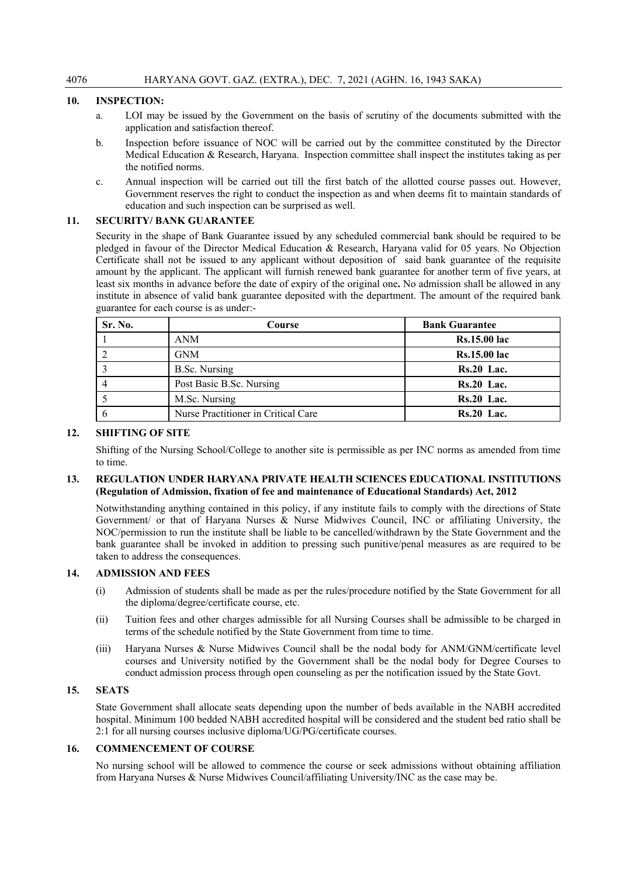#### **10. INSPECTION:**

- a. LOI may be issued by the Government on the basis of scrutiny of the documents submitted with the application and satisfaction thereof.
- b. Inspection before issuance of NOC will be carried out by the committee constituted by the Director Medical Education & Research, Haryana. Inspection committee shall inspect the institutes taking as per the notified norms.
- c. Annual inspection will be carried out till the first batch of the allotted course passes out. However, Government reserves the right to conduct the inspection as and when deems fit to maintain standards of education and such inspection can be surprised as well.

#### **11. SECURITY/ BANK GUARANTEE**

Security in the shape of Bank Guarantee issued by any scheduled commercial bank should be required to be pledged in favour of the Director Medical Education & Research, Haryana valid for 05 years. No Objection Certificate shall not be issued to any applicant without deposition of said bank guarantee of the requisite amount by the applicant. The applicant will furnish renewed bank guarantee for another term of five years, at least six months in advance before the date of expiry of the original one**.** No admission shall be allowed in any institute in absence of valid bank guarantee deposited with the department. The amount of the required bank guarantee for each course is as under:-

| Sr. No. | Course                              | <b>Bank Guarantee</b> |
|---------|-------------------------------------|-----------------------|
|         | <b>ANM</b>                          | <b>Rs.15.00 lac</b>   |
|         | <b>GNM</b>                          | <b>Rs.15.00 lac</b>   |
|         | B.Sc. Nursing                       | <b>Rs.20 Lac.</b>     |
|         | Post Basic B.Sc. Nursing            | $Rs.20$ Lac.          |
|         | M.Sc. Nursing                       | $Rs.20$ Lac.          |
|         | Nurse Practitioner in Critical Care | $Rs.20$ Lac.          |

#### **12. SHIFTING OF SITE**

Shifting of the Nursing School/College to another site is permissible as per INC norms as amended from time to time.

#### **13. REGULATION UNDER HARYANA PRIVATE HEALTH SCIENCES EDUCATIONAL INSTITUTIONS (Regulation of Admission, fixation of fee and maintenance of Educational Standards) Act, 2012**

Notwithstanding anything contained in this policy, if any institute fails to comply with the directions of State Government/ or that of Haryana Nurses & Nurse Midwives Council, INC or affiliating University, the NOC/permission to run the institute shall be liable to be cancelled/withdrawn by the State Government and the bank guarantee shall be invoked in addition to pressing such punitive/penal measures as are required to be taken to address the consequences.

# **14. ADMISSION AND FEES**

- (i) Admission of students shall be made as per the rules/procedure notified by the State Government for all the diploma/degree/certificate course, etc.
- (ii) Tuition fees and other charges admissible for all Nursing Courses shall be admissible to be charged in terms of the schedule notified by the State Government from time to time.
- (iii) Haryana Nurses & Nurse Midwives Council shall be the nodal body for ANM/GNM/certificate level courses and University notified by the Government shall be the nodal body for Degree Courses to conduct admission process through open counseling as per the notification issued by the State Govt.

#### **15. SEATS**

State Government shall allocate seats depending upon the number of beds available in the NABH accredited hospital. Minimum 100 bedded NABH accredited hospital will be considered and the student bed ratio shall be 2:1 for all nursing courses inclusive diploma/UG/PG/certificate courses.

#### **16. COMMENCEMENT OF COURSE**

No nursing school will be allowed to commence the course or seek admissions without obtaining affiliation from Haryana Nurses & Nurse Midwives Council/affiliating University/INC as the case may be.